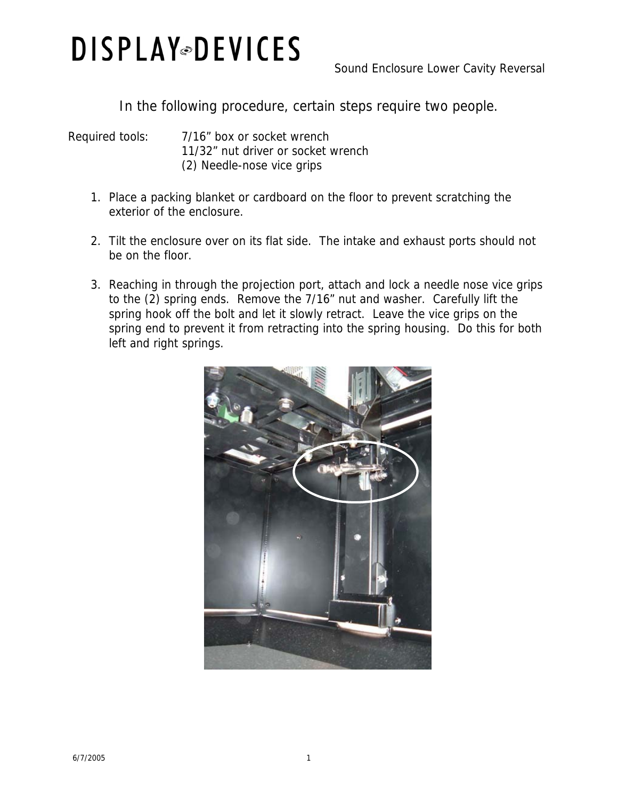## **DISPLAY** DEVICES

In the following procedure, certain steps require two people.

Required tools: 7/16" box or socket wrench 11/32" nut driver or socket wrench (2) Needle-nose vice grips

- 1. Place a packing blanket or cardboard on the floor to prevent scratching the exterior of the enclosure.
- 2. Tilt the enclosure over on its flat side. The intake and exhaust ports should not be on the floor.
- 3. Reaching in through the projection port, attach and lock a needle nose vice grips to the (2) spring ends. Remove the 7/16" nut and washer. Carefully lift the spring hook off the bolt and let it slowly retract. Leave the vice grips on the spring end to prevent it from retracting into the spring housing. Do this for both left and right springs.

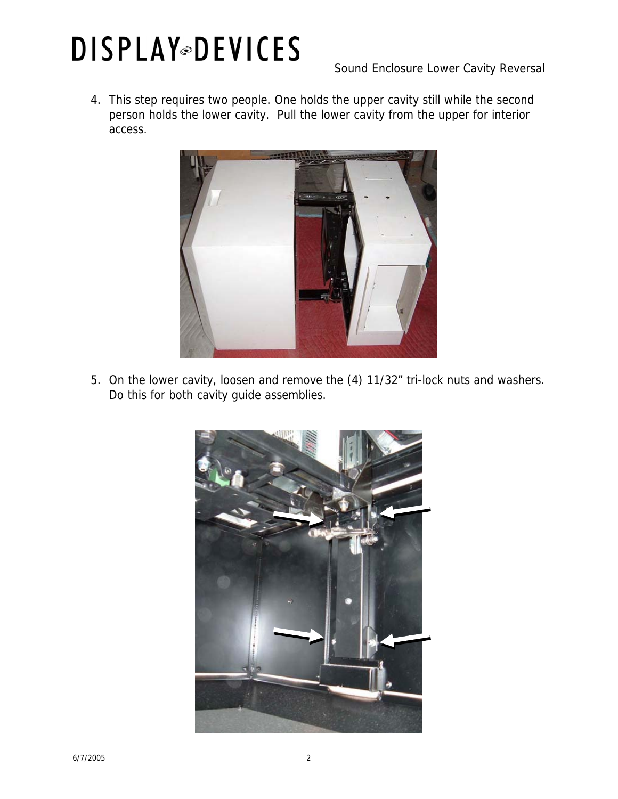## **DISPLAY** DEVICES

Sound Enclosure Lower Cavity Reversal

4. This step requires two people. One holds the upper cavity still while the second person holds the lower cavity. Pull the lower cavity from the upper for interior access.



5. On the lower cavity, loosen and remove the (4) 11/32" tri-lock nuts and washers. Do this for both cavity guide assemblies.